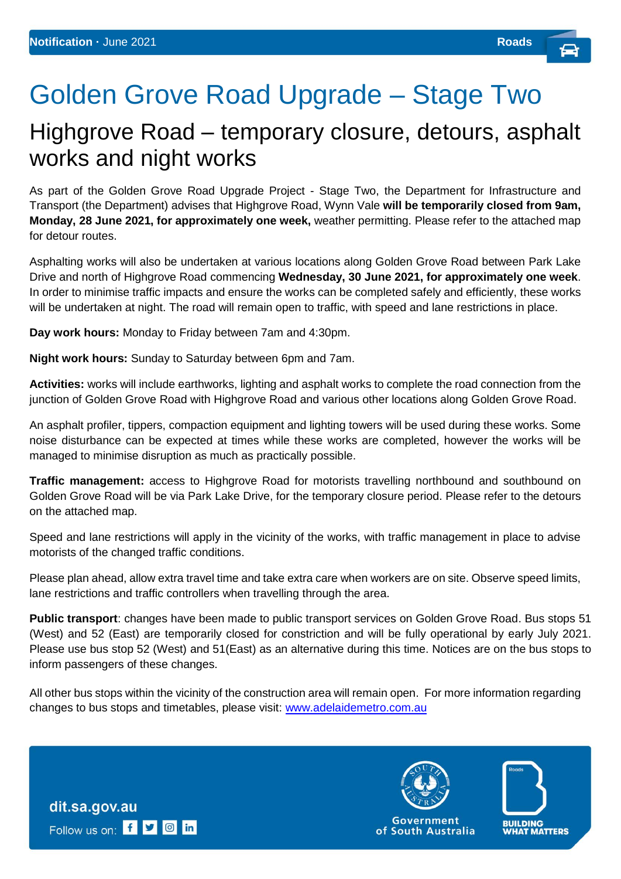## Golden Grove Road Upgrade – Stage Two

## Highgrove Road – temporary closure, detours, asphalt works and night works

As part of the Golden Grove Road Upgrade Project - Stage Two, the Department for Infrastructure and Transport (the Department) advises that Highgrove Road, Wynn Vale **will be temporarily closed from 9am, Monday, 28 June 2021, for approximately one week,** weather permitting. Please refer to the attached map for detour routes.

Asphalting works will also be undertaken at various locations along Golden Grove Road between Park Lake Drive and north of Highgrove Road commencing **Wednesday, 30 June 2021, for approximately one week**. In order to minimise traffic impacts and ensure the works can be completed safely and efficiently, these works will be undertaken at night. The road will remain open to traffic, with speed and lane restrictions in place.

**Day work hours:** Monday to Friday between 7am and 4:30pm.

**Night work hours:** Sunday to Saturday between 6pm and 7am.

**Activities:** works will include earthworks, lighting and asphalt works to complete the road connection from the iunction of Golden Grove Road with Highgrove Road and various other locations along Golden Grove Road.

An asphalt profiler, tippers, compaction equipment and lighting towers will be used during these works. Some noise disturbance can be expected at times while these works are completed, however the works will be managed to minimise disruption as much as practically possible.

**Traffic management:** access to Highgrove Road for motorists travelling northbound and southbound on Golden Grove Road will be via Park Lake Drive, for the temporary closure period. Please refer to the detours on the attached map.

Speed and lane restrictions will apply in the vicinity of the works, with traffic management in place to advise motorists of the changed traffic conditions.

Please plan ahead, allow extra travel time and take extra care when workers are on site. Observe speed limits, lane restrictions and traffic controllers when travelling through the area.

**Public transport**: changes have been made to public transport services on Golden Grove Road. Bus stops 51 (West) and 52 (East) are temporarily closed for constriction and will be fully operational by early July 2021. Please use bus stop 52 (West) and 51(East) as an alternative during this time. Notices are on the bus stops to inform passengers of these changes.

All other bus stops within the vicinity of the construction area will remain open. For more information regarding changes to bus stops and timetables, please visit: [www.adelaidemetro.com.au](http://www.adelaidemetro.com.au/)